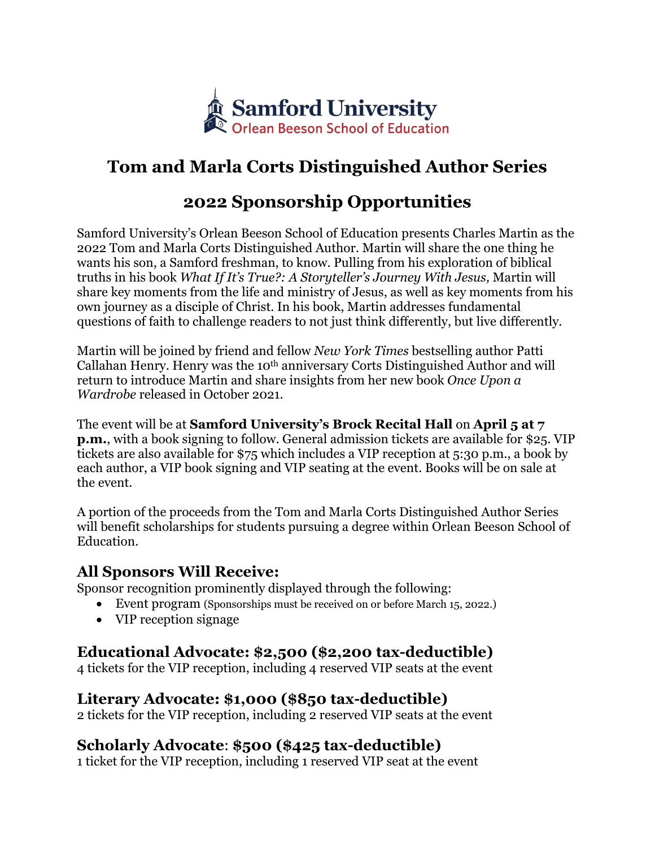

# **Tom and Marla Corts Distinguished Author Series**

## **2022 Sponsorship Opportunities**

Samford University's Orlean Beeson School of Education presents Charles Martin as the 2022 Tom and Marla Corts Distinguished Author. Martin will share the one thing he wants his son, a Samford freshman, to know. Pulling from his exploration of biblical truths in his book *What If It's True?: A Storyteller's Journey With Jesus,* Martin will share key moments from the life and ministry of Jesus, as well as key moments from his own journey as a disciple of Christ. In his book, Martin addresses fundamental questions of faith to challenge readers to not just think differently, but live differently.

Martin will be joined by friend and fellow *New York Times* bestselling author Patti Callahan Henry. Henry was the 10th anniversary Corts Distinguished Author and will return to introduce Martin and share insights from her new book *Once Upon a Wardrobe* released in October 2021.

The event will be at **Samford University's Brock Recital Hall** on **April 5 at 7 p.m.**, with a book signing to follow. General admission tickets are available for \$25. VIP tickets are also available for \$75 which includes a VIP reception at 5:30 p.m., a book by each author, a VIP book signing and VIP seating at the event. Books will be on sale at the event.

A portion of the proceeds from the Tom and Marla Corts Distinguished Author Series will benefit scholarships for students pursuing a degree within Orlean Beeson School of Education.

#### **All Sponsors Will Receive:**

Sponsor recognition prominently displayed through the following:

- Event program (Sponsorships must be received on or before March 15, 2022.)
- VIP reception signage

### **Educational Advocate: \$2,500 (\$2,200 tax-deductible)**

4 tickets for the VIP reception, including 4 reserved VIP seats at the event

### **Literary Advocate: \$1,000 (\$850 tax-deductible)**

2 tickets for the VIP reception, including 2 reserved VIP seats at the event

### **Scholarly Advocate**: **\$500 (\$425 tax-deductible)**

1 ticket for the VIP reception, including 1 reserved VIP seat at the event